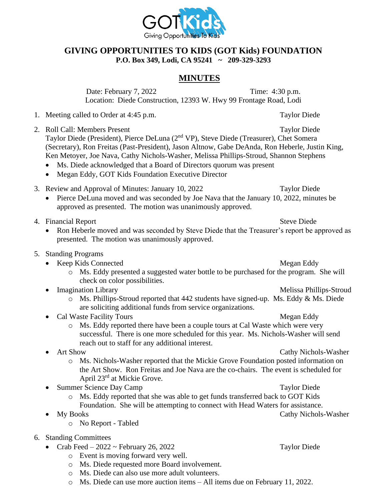

## **GIVING OPPORTUNITIES TO KIDS (GOT Kids) FOUNDATION P.O. Box 349, Lodi, CA 95241 ~ 209-329-3293**

## **MINUTES**

Date: February 7, 2022 Time: 4:30 p.m. Location: Diede Construction, 12393 W. Hwy 99 Frontage Road, Lodi

- 1. Meeting called to Order at 4:45 p.m. Taylor Diede
- 2. Roll Call: Members Present Taylor Diede Taylor Diede (President), Pierce DeLuna (2nd VP), Steve Diede (Treasurer), Chet Somera (Secretary), Ron Freitas (Past-President), Jason Altnow, Gabe DeAnda, Ron Heberle, Justin King, Ken Metoyer, Joe Nava, Cathy Nichols-Washer, Melissa Phillips-Stroud, Shannon Stephens
	- Ms. Diede acknowledged that a Board of Directors quorum was present
	- Megan Eddy, GOT Kids Foundation Executive Director
- 3. Review and Approval of Minutes: January 10, 2022 Taylor Diede
	- Pierce DeLuna moved and was seconded by Joe Nava that the January 10, 2022, minutes be approved as presented. The motion was unanimously approved.
- 4. Financial Report Steve Diede
	- Ron Heberle moved and was seconded by Steve Diede that the Treasurer's report be approved as presented. The motion was unanimously approved.
- 5. Standing Programs
	- Keep Kids Connected Megan Eddy
		- o Ms. Eddy presented a suggested water bottle to be purchased for the program. She will check on color possibilities.
	- **Imagination Library** Melissa Phillips-Stroud
		- o Ms. Phillips-Stroud reported that 442 students have signed-up. Ms. Eddy & Ms. Diede are soliciting additional funds from service organizations.
	- Cal Waste Facility Tours **Megan Eddy** 
		- o Ms. Eddy reported there have been a couple tours at Cal Waste which were very successful. There is one more scheduled for this year. Ms. Nichols-Washer will send reach out to staff for any additional interest.
	- Art Show Cathy Nichols-Washer
		- o Ms. Nichols-Washer reported that the Mickie Grove Foundation posted information on the Art Show. Ron Freitas and Joe Nava are the co-chairs. The event is scheduled for April 23rd at Mickie Grove.
		- Summer Science Day Camp Taylor Diede o Ms. Eddy reported that she was able to get funds transferred back to GOT Kids Foundation. She will be attempting to connect with Head Waters for assistance.
	- My Books Cathy Nichols-Washer
		- o No Report Tabled
- 6. Standing Committees
	- Crab Feed 2022 ~ February 26, 2022 Taylor Diede
		- o Event is moving forward very well.
		- o Ms. Diede requested more Board involvement.
		- o Ms. Diede can also use more adult volunteers.
		- o Ms. Diede can use more auction items All items due on February 11, 2022.